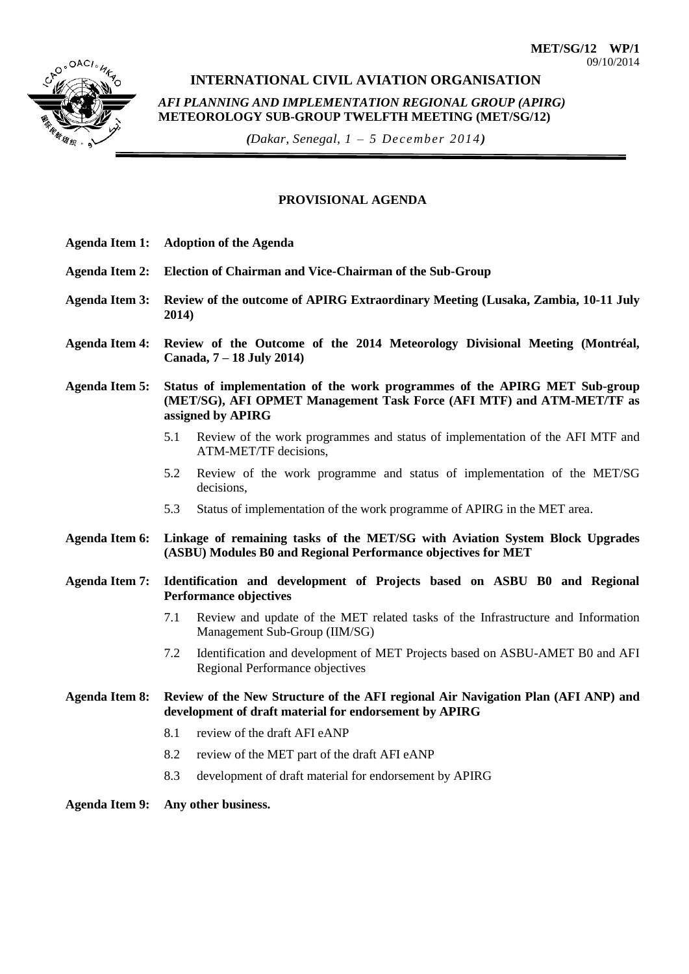

# **INTERNATIONAL CIVIL AVIATION ORGANISATION**

*AFI PLANNING AND IMPLEMENTATION REGIONAL GROUP (APIRG)* **METEOROLOGY SUB-GROUP TWELFTH MEETING (MET/SG/12)** 

*(Dakar, Senegal, 1 – 5 December 2014)*

#### **PROVISIONAL AGENDA**

- **Agenda Item 1: Adoption of the Agenda**
- **Agenda Item 2: Election of Chairman and Vice-Chairman of the Sub-Group**
- **Agenda Item 3: Review of the outcome of APIRG Extraordinary Meeting (Lusaka, Zambia, 10-11 July 2014)**
- **Agenda Item 4: Review of the Outcome of the 2014 Meteorology Divisional Meeting (Montréal, Canada, 7 – 18 July 2014)**

**Agenda Item 5: Status of implementation of the work programmes of the APIRG MET Sub-group (MET/SG), AFI OPMET Management Task Force (AFI MTF) and ATM-MET/TF as assigned by APIRG**

- 5.1 Review of the work programmes and status of implementation of the AFI MTF and ATM-MET/TF decisions,
- 5.2 Review of the work programme and status of implementation of the MET/SG decisions,
- 5.3 Status of implementation of the work programme of APIRG in the MET area.
- **Agenda Item 6: Linkage of remaining tasks of the MET/SG with Aviation System Block Upgrades (ASBU) Modules B0 and Regional Performance objectives for MET**
- **Agenda Item 7: Identification and development of Projects based on ASBU B0 and Regional Performance objectives**
	- 7.1 Review and update of the MET related tasks of the Infrastructure and Information Management Sub-Group (IIM/SG)
	- 7.2 Identification and development of MET Projects based on ASBU-AMET B0 and AFI Regional Performance objectives

**Agenda Item 8: Review of the New Structure of the AFI regional Air Navigation Plan (AFI ANP) and development of draft material for endorsement by APIRG**

- 8.1 review of the draft AFI eANP
- 8.2 review of the MET part of the draft AFI eANP
- 8.3 development of draft material for endorsement by APIRG
- **Agenda Item 9: Any other business.**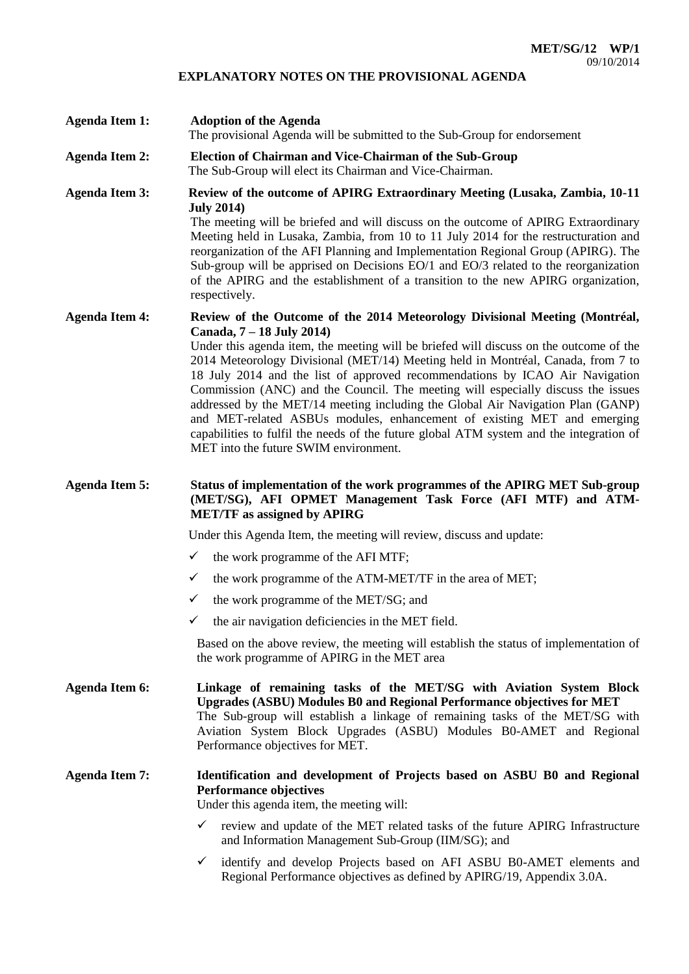### **EXPLANATORY NOTES ON THE PROVISIONAL AGENDA**

- **Agenda Item 1: Adoption of the Agenda** The provisional Agenda will be submitted to the Sub-Group for endorsement
- **Agenda Item 2: Election of Chairman and Vice-Chairman of the Sub-Group** The Sub-Group will elect its Chairman and Vice-Chairman.
- **Agenda Item 3: Review of the outcome of APIRG Extraordinary Meeting (Lusaka, Zambia, 10-11 July 2014)** The meeting will be briefed and will discuss on the outcome of APIRG Extraordinary

Meeting held in Lusaka, Zambia, from 10 to 11 July 2014 for the restructuration and reorganization of the AFI Planning and Implementation Regional Group (APIRG). The Sub-group will be apprised on Decisions EO/1 and EO/3 related to the reorganization of the APIRG and the establishment of a transition to the new APIRG organization, respectively.

#### **Agenda Item 4: Review of the Outcome of the 2014 Meteorology Divisional Meeting (Montréal, Canada, 7 – 18 July 2014)**

Under this agenda item, the meeting will be briefed will discuss on the outcome of the 2014 Meteorology Divisional (MET/14) Meeting held in Montréal, Canada, from 7 to 18 July 2014 and the list of approved recommendations by ICAO Air Navigation Commission (ANC) and the Council. The meeting will especially discuss the issues addressed by the MET/14 meeting including the Global Air Navigation Plan (GANP) and MET-related ASBUs modules, enhancement of existing MET and emerging capabilities to fulfil the needs of the future global ATM system and the integration of MET into the future SWIM environment.

## **Agenda Item 5: Status of implementation of the work programmes of the APIRG MET Sub-group (MET/SG), AFI OPMET Management Task Force (AFI MTF) and ATM-MET/TF as assigned by APIRG**

Under this Agenda Item, the meeting will review, discuss and update:

- $\checkmark$  the work programme of the AFI MTF;
- the work programme of the ATM-MET/TF in the area of MET;
- $\checkmark$  the work programme of the MET/SG; and
- $\checkmark$  the air navigation deficiencies in the MET field.

Based on the above review, the meeting will establish the status of implementation of the work programme of APIRG in the MET area

**Agenda Item 6: Linkage of remaining tasks of the MET/SG with Aviation System Block Upgrades (ASBU) Modules B0 and Regional Performance objectives for MET** The Sub-group will establish a linkage of remaining tasks of the MET/SG with Aviation System Block Upgrades (ASBU) Modules B0-AMET and Regional Performance objectives for MET.

# **Agenda Item 7: Identification and development of Projects based on ASBU B0 and Regional Performance objectives**

Under this agenda item, the meeting will:

- $\checkmark$  review and update of the MET related tasks of the future APIRG Infrastructure and Information Management Sub-Group (IIM/SG); and
- $\checkmark$  identify and develop Projects based on AFI ASBU B0-AMET elements and Regional Performance objectives as defined by APIRG/19, Appendix 3.0A.